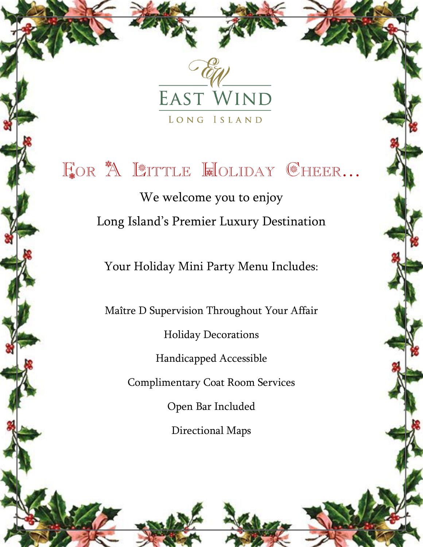

FOR A LITTLE HOLIDAY GHEER... We welcome you to enjoy Long Island's Premier Luxury Destination Your Holiday Mini Party Menu Includes:

> Maître D Supervision Throughout Your Affair Holiday Decorations Handicapped Accessible Complimentary Coat Room Services Open Bar Included Directional Maps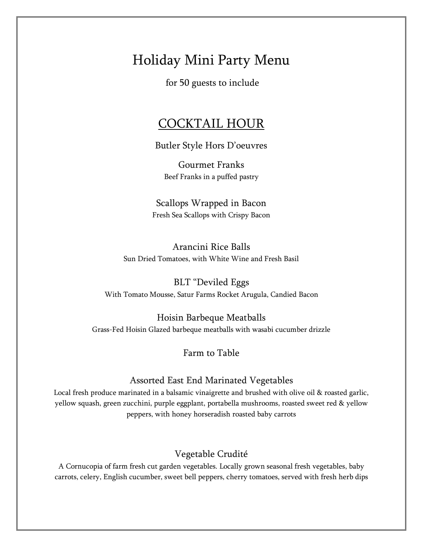# Holiday Mini Party Menu

for 50 guests to include

## COCKTAIL HOUR

Butler Style Hors D'oeuvres

Gourmet Franks Beef Franks in a puffed pastry

Scallops Wrapped in Bacon Fresh Sea Scallops with Crispy Bacon

Arancini Rice Balls Sun Dried Tomatoes, with White Wine and Fresh Basil

BLT "Deviled Eggs With Tomato Mousse, Satur Farms Rocket Arugula, Candied Bacon

Hoisin Barbeque Meatballs Grass-Fed Hoisin Glazed barbeque meatballs with wasabi cucumber drizzle

Farm to Table

#### Assorted East End Marinated Vegetables

Local fresh produce marinated in a balsamic vinaigrette and brushed with olive oil & roasted garlic, yellow squash, green zucchini, purple eggplant, portabella mushrooms, roasted sweet red & yellow peppers, with honey horseradish roasted baby carrots

#### Vegetable Crudité

A Cornucopia of farm fresh cut garden vegetables. Locally grown seasonal fresh vegetables, baby carrots, celery, English cucumber, sweet bell peppers, cherry tomatoes, served with fresh herb dips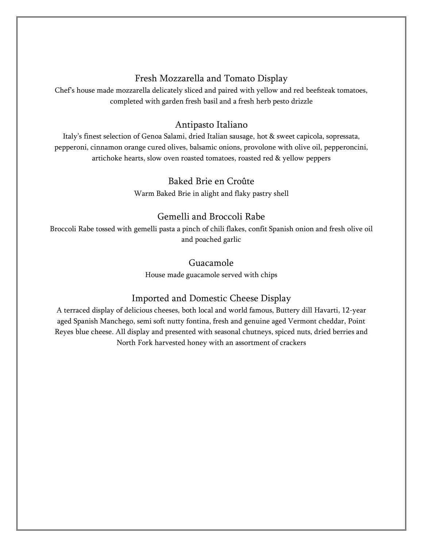### Fresh Mozzarella and Tomato Display

Chef's house made mozzarella delicately sliced and paired with yellow and red beefsteak tomatoes, completed with garden fresh basil and a fresh herb pesto drizzle

### Antipasto Italiano

Italy's finest selection of Genoa Salami, dried Italian sausage, hot & sweet capicola, sopressata, pepperoni, cinnamon orange cured olives, balsamic onions, provolone with olive oil, pepperoncini, artichoke hearts, slow oven roasted tomatoes, roasted red & yellow peppers

### Baked Brie en Croûte

Warm Baked Brie in alight and flaky pastry shell

### Gemelli and Broccoli Rabe

Broccoli Rabe tossed with gemelli pasta a pinch of chili flakes, confit Spanish onion and fresh olive oil and poached garlic

### Guacamole

House made guacamole served with chips

## Imported and Domestic Cheese Display

A terraced display of delicious cheeses, both local and world famous, Buttery dill Havarti, 12-year aged Spanish Manchego, semi soft nutty fontina, fresh and genuine aged Vermont cheddar, Point Reyes blue cheese. All display and presented with seasonal chutneys, spiced nuts, dried berries and North Fork harvested honey with an assortment of crackers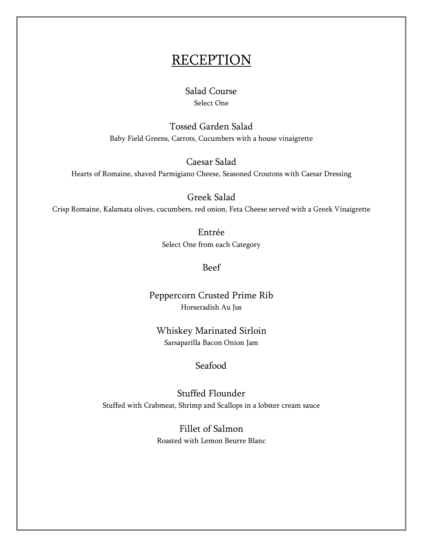# **RECEPTION**

### Salad Course Select One

Tossed Garden Salad Baby Field Greens, Carrots, Cucumbers with a house vinaigrette

Caesar Salad

Hearts of Romaine, shaved Parmigiano Cheese, Seasoned Croutons with Caesar Dressing

Greek Salad

Crisp Romaine, Kalamata olives, cucumbers, red onion, Feta Cheese served with a Greek Vinaigrette

Entrée Select One from each Category

Beef

Peppercorn Crusted Prime Rib Horseradish Au Jus

Whiskey Marinated Sirloin Sarsaparilla Bacon Onion Jam

### Seafood

Stuffed Flounder Stuffed with Crabmeat, Shrimp and Scallops in a lobster cream sauce

> Fillet of Salmon Roasted with Lemon Beurre Blanc